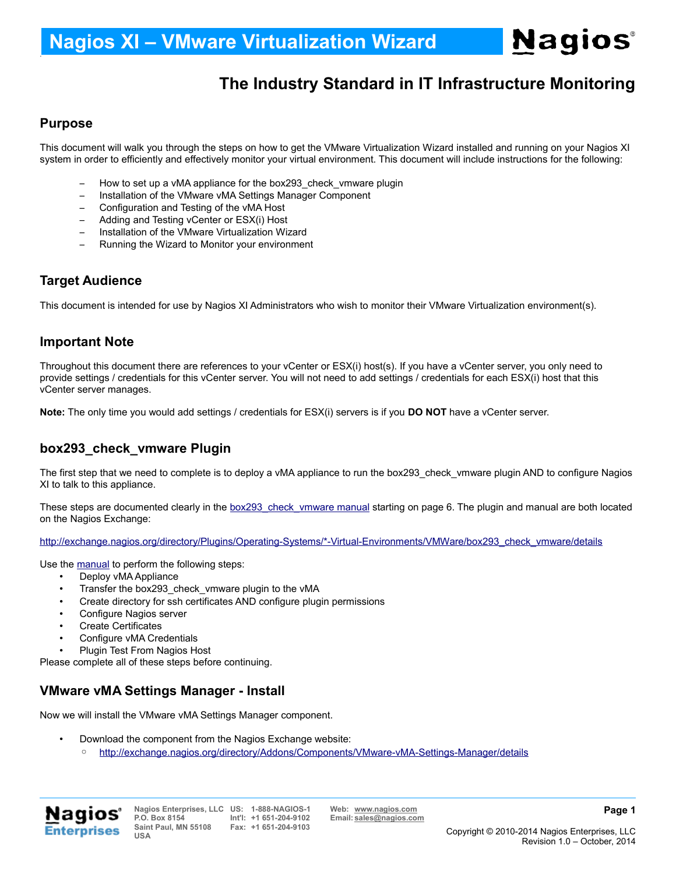## **The Industry Standard in IT Infrastructure Monitoring**

#### **Purpose**

.

This document will walk you through the steps on how to get the VMware Virtualization Wizard installed and running on your Nagios XI system in order to efficiently and effectively monitor your virtual environment. This document will include instructions for the following:

- How to set up a vMA appliance for the box293 check vmware plugin
- Installation of the VMware vMA Settings Manager Component
- Configuration and Testing of the vMA Host
- Adding and Testing vCenter or ESX(i) Host
- Installation of the VMware Virtualization Wizard
- Running the Wizard to Monitor your environment

#### **Target Audience**

This document is intended for use by Nagios XI Administrators who wish to monitor their VMware Virtualization environment(s).

#### **Important Note**

Throughout this document there are references to your vCenter or ESX(i) host(s). If you have a vCenter server, you only need to provide settings / credentials for this vCenter server. You will not need to add settings / credentials for each ESX(i) host that this vCenter server manages.

**Note:** The only time you would add settings / credentials for ESX(i) servers is if you **DO NOT** have a vCenter server.

#### **box293\_check\_vmware Plugin**

The first step that we need to complete is to deploy a vMA appliance to run the box293\_check\_vmware plugin AND to configure Nagios XI to talk to this appliance.

These steps are documented clearly in the [box293\\_check\\_vmware manual](http://exchange.nagios.org/components/com_mtree/attachment.php?link_id=5840&cf_id=29) starting on page 6. The plugin and manual are both located on the Nagios Exchange:

[http://exchange.nagios.org/directory/Plugins/Operating-Systems/\\*-Virtual-Environments/VMWare/box293\\_check\\_vmware/details](http://exchange.nagios.org/directory/Plugins/Operating-Systems/*-Virtual-Environments/VMWare/box293_check_vmware/details)

Use the [manual](http://exchange.nagios.org/components/com_mtree/attachment.php?link_id=5840&cf_id=29) to perform the following steps:

- Deploy vMA Appliance
- Transfer the box293\_check\_vmware plugin to the vMA
- Create directory for ssh certificates AND configure plugin permissions
- Configure Nagios server
- Create Certificates
- Configure vMA Credentials
- Plugin Test From Nagios Host

Please complete all of these steps before continuing.

#### **VMware vMA Settings Manager - Install**

Now we will install the VMware vMA Settings Manager component.

- Download the component from the Nagios Exchange website:
	- <http://exchange.nagios.org/directory/Addons/Components/VMware-vMA-Settings-Manager/details>

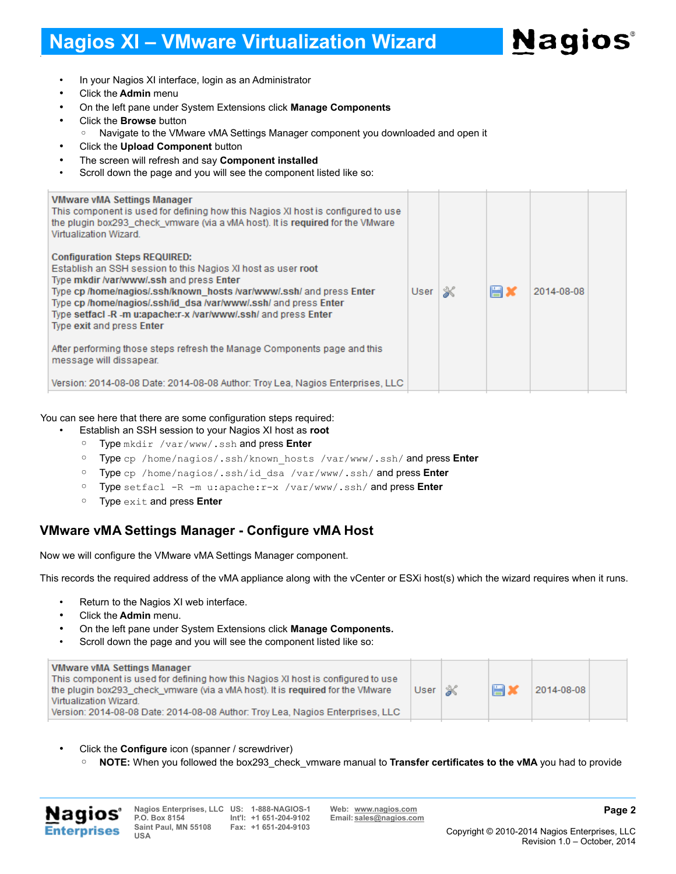

- In your Nagios XI interface, login as an Administrator
- Click the **Admin** menu

.

- On the left pane under System Extensions click **Manage Components**
- Click the **Browse** button
	- Navigate to the VMware vMA Settings Manager component you downloaded and open it
- Click the **Upload Component** button
- The screen will refresh and say **Component installed**
- Scroll down the page and you will see the component listed like so:

| <b>VMware vMA Settings Manager</b><br>This component is used for defining how this Nagios XI host is configured to use<br>the plugin box293 check vmware (via a vMA host). It is required for the VMware<br>Virtualization Wizard. |      |   |    |            |  |
|------------------------------------------------------------------------------------------------------------------------------------------------------------------------------------------------------------------------------------|------|---|----|------------|--|
| <b>Configuration Steps REQUIRED:</b>                                                                                                                                                                                               |      |   |    |            |  |
| Establish an SSH session to this Nagios XI host as user root                                                                                                                                                                       |      |   |    |            |  |
| Type mkdir /var/www/.ssh and press Enter                                                                                                                                                                                           |      |   |    |            |  |
| Type cp /home/nagios/.ssh/known hosts /var/www/.ssh/ and press Enter                                                                                                                                                               | User | ⋇ | Ħ. | 2014-08-08 |  |
| Type cp /home/nagios/.ssh/id dsa /var/www/.ssh/ and press Enter<br>Type setfact -R -m u:apache:r-x /var/www/.ssh/ and press Enter                                                                                                  |      |   |    |            |  |
| Type exit and press Enter                                                                                                                                                                                                          |      |   |    |            |  |
|                                                                                                                                                                                                                                    |      |   |    |            |  |
| After performing those steps refresh the Manage Components page and this<br>message will dissapear.                                                                                                                                |      |   |    |            |  |
| Version: 2014-08-08 Date: 2014-08-08 Author: Troy Lea, Nagios Enterprises, LLC                                                                                                                                                     |      |   |    |            |  |
|                                                                                                                                                                                                                                    |      |   |    |            |  |

#### You can see here that there are some configuration steps required:

- Establish an SSH session to your Nagios XI host as **root**
	- Type mkdir /var/www/.ssh and press **Enter**
	- Type cp /home/nagios/.ssh/known\_hosts /var/www/.ssh/ and press **Enter**
	- Type cp /home/nagios/.ssh/id\_dsa /var/www/.ssh/ and press **Enter**
	- Type setfacl -R -m u:apache:r-x /var/www/.ssh/ and press **Enter**
	- Type exit and press **Enter**

#### **VMware vMA Settings Manager - Configure vMA Host**

Now we will configure the VMware vMA Settings Manager component.

This records the required address of the vMA appliance along with the vCenter or ESXi host(s) which the wizard requires when it runs.

- Return to the Nagios XI web interface.
- Click the **Admin** menu.
- On the left pane under System Extensions click **Manage Components.**
- Scroll down the page and you will see the component listed like so:

|  | <b>VMware vMA Settings Manager</b><br>This component is used for defining how this Nagios XI host is configured to use<br>the plugin box293 check vmware (via a vMA host). It is required for the VMware<br>Virtualization Wizard.<br>Version: 2014-08-08 Date: 2014-08-08 Author: Troy Lea, Nagios Enterprises, LLC | User $\mathscr{K}$ |  | 旨 | 2014-08-08 |  |
|--|----------------------------------------------------------------------------------------------------------------------------------------------------------------------------------------------------------------------------------------------------------------------------------------------------------------------|--------------------|--|---|------------|--|
|--|----------------------------------------------------------------------------------------------------------------------------------------------------------------------------------------------------------------------------------------------------------------------------------------------------------------------|--------------------|--|---|------------|--|

- Click the **Configure** icon (spanner / screwdriver)
	- **NOTE:** When you followed the box293\_check\_vmware manual to **Transfer certificates to the vMA** you had to provide



**Nagios Enterprises, LLC US: 1-888-NAGIOS-1 Web: [www.nagios.com](http://www.nagios.com/) P.O. Box 8154 Saint Paul, MN 55108 USA**

**Fax: +1 651-204-9103**

**Int'l: +1 651-204-9102 Email: [sales@nagios.com](mailto:sales@nagios.com)**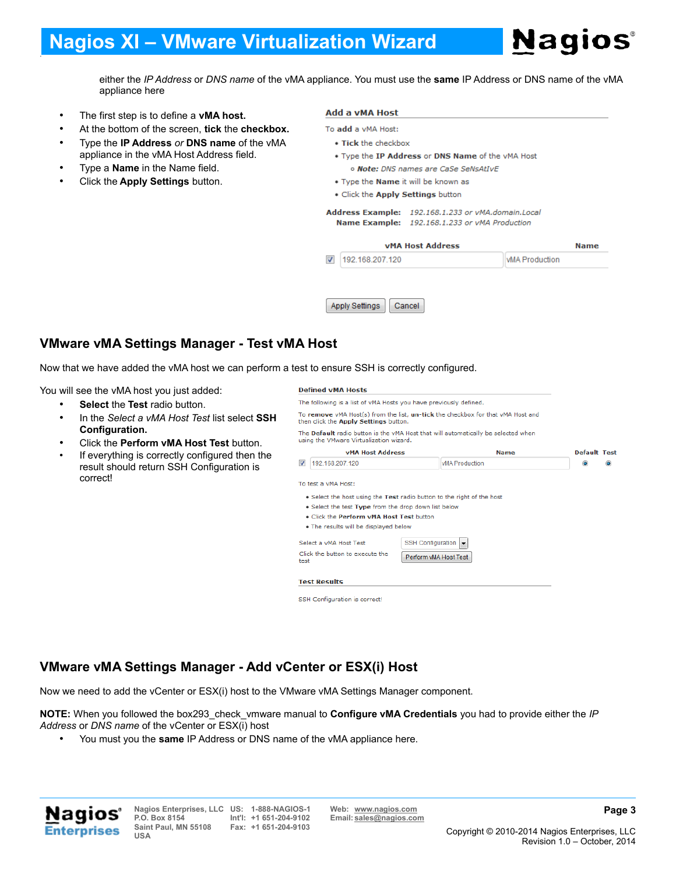# **Nagios**®

either the *IP Address* or *DNS name* of the vMA appliance. You must use the **same** IP Address or DNS name of the vMA appliance here

- The first step is to define a **vMA host.**
- At the bottom of the screen, **tick** the **checkbox.**
- Type the **IP Address** *or* **DNS name** of the vMA appliance in the vMA Host Address field.
- Type a **Name** in the Name field.

.

• Click the **Apply Settings** button.

#### Add a vMA Host

- To add a vMA Host:
	- . Tick the checkbox
	- . Type the IP Address or DNS Name of the vMA Host o Note: DNS names are CaSe SeNsAtIvE
	- . Type the Name it will be known as
	- . Click the Apply Settings button

Address Example: 192.168.1.233 or vMA.domain.Local Name Example: 192.168.1.233 or vMA Production

|                          | <b>VMA Host Address</b> |                        | <b>Name</b> |
|--------------------------|-------------------------|------------------------|-------------|
| $\overline{\mathcal{A}}$ | 192.168.207.120         | <b>IVMA</b> Production |             |
|                          |                         |                        |             |



### **VMware vMA Settings Manager - Test vMA Host**

Now that we have added the vMA host we can perform a test to ensure SSH is correctly configured.

You will see the vMA host you just added:

- **Select** the **Test** radio button.
- In the *Select a vMA Host Test* list select **SSH Configuration.**
- Click the **Perform vMA Host Test** button.
- If everything is correctly configured then the result should return SSH Configuration is correct!

**Defined vMA Hosts** 

The following is a list of vMA Hosts you have previously defined

To remove vMA Host(s) from the list, un-tick the checkbox for that vMA Host and then click the Apply Settings button.

The Default radio button is the vMA Host that will automatically be selected when using the VMware Virtualization wizard.

#### **vMA Host Address Default Test Name** 7 192.168.207.120 **VMA Production**  $\circledcirc$  $\odot$ To test a vMA Host: . Select the host using the Test radio button to the right of the host . Select the test Type from the drop down list below . Click the Perform vMA Host Test button . The results will be displayed below Select a vMA Host Test SSH Configuration Click the button to execute the Perform vMA Host Test test **Test Results** SSH Configuration is correct!

### **VMware vMA Settings Manager - Add vCenter or ESX(i) Host**

Now we need to add the vCenter or ESX(i) host to the VMware vMA Settings Manager component.

**NOTE:** When you followed the box293\_check\_vmware manual to **Configure vMA Credentials** you had to provide either the *IP Address* or *DNS name* of the vCenter or ESX(i) host

• You must you the **same** IP Address or DNS name of the vMA appliance here.



**Nagios Enterprises, LLC US: 1-888-NAGIOS-1 Web: [www.nagios.com](http://www.nagios.com/) P.O. Box 8154 Saint Paul, MN 55108 USA**

**Fax: +1 651-204-9103**

**Int'l: +1 651-204-9102 Email: [sales@nagios.com](mailto:sales@nagios.com)**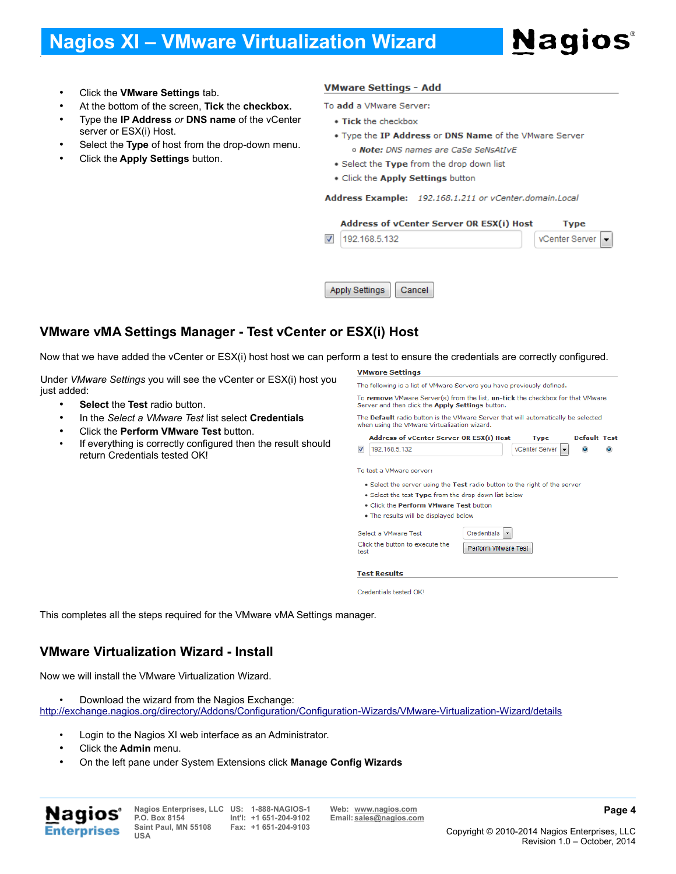• Click the **VMware Settings** tab.

.

- At the bottom of the screen, **Tick** the **checkbox.**
- Type the **IP Address** *or* **DNS name** of the vCenter server or ESX(i) Host.
- Select the **Type** of host from the drop-down menu.
- Click the **Apply Settings** button.

#### **VMware Settings - Add**

To add a VMware Server:

- Tick the checkbox
- . Type the IP Address or DNS Name of the VMware Server o Note: DNS names are CaSe SeNsAtIvE
- . Select the Type from the drop down list
- . Click the Apply Settings button

Address Example: 192.168.1.211 or vCenter.domain.Local

#### Address of vCenter Server OR ESX(i) Host **Type**  $\overline{\mathcal{A}}$ 192.168.5.132 vCenter Server ÷ Apply Settings Cancel

### **VMware vMA Settings Manager - Test vCenter or ESX(i) Host**

Now that we have added the vCenter or ESX(i) host host we can perform a test to ensure the credentials are correctly configured.

Under *VMware Settings* you will see the vCenter or ESX(i) host you just added:

- **Select** the **Test** radio button.
- In the *Select a VMware Test* list select **Credentials**
- Click the **Perform VMware Test** button.
- If everything is correctly configured then the result should return Credentials tested OK!

#### **VMware Settings**

|                | The Default radio button is the VMware Server that will automatically be selected |                                        |                           |                        |
|----------------|-----------------------------------------------------------------------------------|----------------------------------------|---------------------------|------------------------|
|                | when using the VMware Virtualization wizard.                                      |                                        |                           |                        |
|                | <b>Address of vCenter Server OR ESX(i) Host</b>                                   |                                        | <b>Type</b>               | Default Test           |
| $\overline{J}$ | 192.168.5.132                                                                     |                                        | vCenter Server<br>$\cdot$ | $\bullet$<br>$\bullet$ |
|                |                                                                                   | . Click the Perform VMware Test button |                           |                        |
|                | • The results will be displayed below                                             |                                        |                           |                        |
|                | Select a VMware Test                                                              | Credentials                            |                           |                        |

This completes all the steps required for the VMware vMA Settings manager.

#### **VMware Virtualization Wizard - Install**

Now we will install the VMware Virtualization Wizard.

• Download the wizard from the Nagios Exchange:

<http://exchange.nagios.org/directory/Addons/Configuration/Configuration-Wizards/VMware-Virtualization-Wizard/details>

- Login to the Nagios XI web interface as an Administrator.
- Click the **Admin** menu.
- On the left pane under System Extensions click **Manage Config Wizards**



**Nagios Enterprises, LLC US: 1-888-NAGIOS-1 Web: [www.nagios.com](http://www.nagios.com/) P.O. Box 8154 Saint Paul, MN 55108 USA**

**Fax: +1 651-204-9103**

**Int'l: +1 651-204-9102 Email: [sales@nagios.com](mailto:sales@nagios.com)**

**Page 4**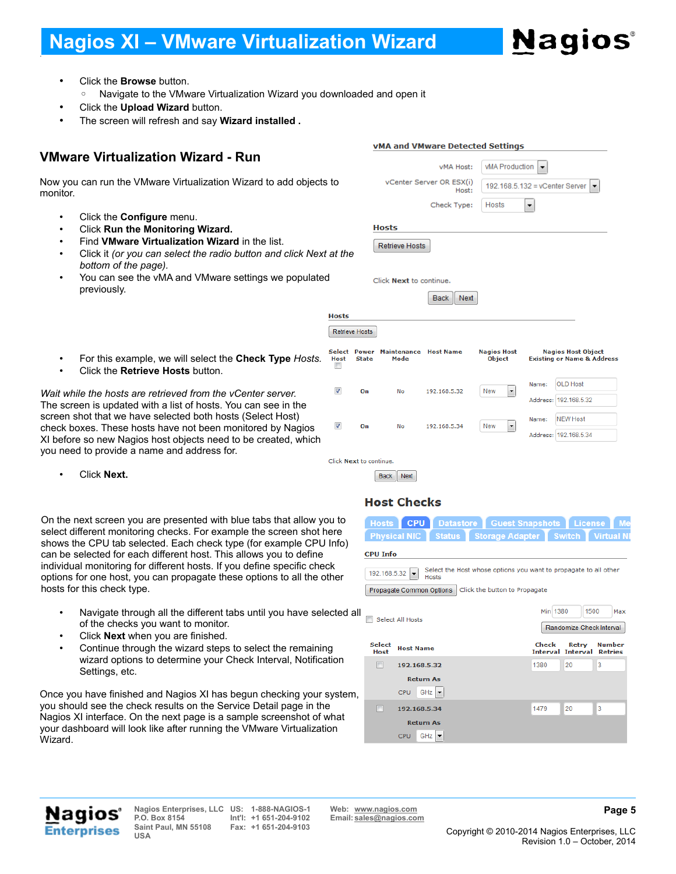# **Nagios**

ے۔<br>Iddress

Address: 192.168.5.34

• Click the **Browse** button.

.

- Navigate to the VMware Virtualization Wizard you downloaded and open it
- Click the **Upload Wizard** button.
- The screen will refresh and say **Wizard installed .**

### **VMware Virtualization Wizard - Run**

Now you can run the VMware Virtualization Wizard to add objects to monitor.

- Click the **Configure** menu.
- Click **Run the Monitoring Wizard.**
- Find **VMware Virtualization Wizard** in the list.
- Click it *(or you can select the radio button and click Next at the bottom of the page).*
- You can see the vMA and VMware settings we populated previously.

|                                                                                                               |                       |                       |                            | <u>cocn</u><br>$\cdots$ |                                     |                                                                |
|---------------------------------------------------------------------------------------------------------------|-----------------------|-----------------------|----------------------------|-------------------------|-------------------------------------|----------------------------------------------------------------|
|                                                                                                               | <b>Hosts</b>          |                       |                            |                         |                                     |                                                                |
|                                                                                                               |                       | <b>Retrieve Hosts</b> |                            |                         |                                     |                                                                |
| For this example, we will select the Check Type Hosts.<br>Click the Retrieve Hosts button.                    | Select<br><b>Host</b> | Power<br><b>State</b> | <b>Maintenance</b><br>Mode | <b>Host Name</b>        | <b>Nagios Host</b><br><b>Obiect</b> | <b>Nagios Host Object</b><br><b>Existing or Name &amp; Add</b> |
|                                                                                                               | V                     | On                    | No                         | 192.168.5.32            | New<br>$\overline{\phantom{0}}$     | <b>OLD Host</b><br>Name:                                       |
| le the hosts are retrieved from the vCenter server.<br>en is updated with a list of hosts. You can see in the |                       |                       |                            |                         |                                     | Address: 192.168.5.32                                          |
| hot that we have selected both hosts (Select Host)                                                            |                       |                       |                            |                         |                                     | <b>NEW Host</b><br>Name:                                       |

192.168.5.34

**DANIEL MANA** 

vMA and VMware Detected Settings vMA Host:

Check Type:

Host:

vCenter Server OR ESX(i)

**Hosts** 

**Retrieve Hosts** 

Click Next to continue.

vMA Production

Hosts

192.168.5.132 = vCenter Server  $\vert \bullet \vert$ 

 $\vert \cdot \vert$ 

• Click the **Retrieve Hosts** button.

*Wait while the hosts are retrieved from the vCenter server.* The screen is updated with a list of hosts. You can see in the screen shot that we have selected both hosts (Select Host) check boxes. These hosts have not been monitored by Nagios XI before so new Nagios host objects need to be created, which you need to provide a name and address for.

• Click **Next.**

On the next screen you are presented with blue tabs that allow you to select different monitoring checks. For example the screen shot here shows the CPU tab selected. Each check type (for example CPU Info) can be selected for each different host. This allows you to define individual monitoring for different hosts. If you define specific check options for one host, you can propagate these options to all the other hosts for this check type.

- Navigate through all the different tabs until you have selected all of the checks you want to monitor.
- Click **Next** when you are finished.
- Continue through the wizard steps to select the remaining wizard options to determine your Check Interval, Notification Settings, etc.

Once you have finished and Nagios XI has begun checking your system, you should see the check results on the Service Detail page in the Nagios XI interface. On the next page is a sample screenshot of what your dashboard will look like after running the VMware Virtualization Wizard.



No

 $\overline{\mathsf{v}}$ 

On

Click Next to continue.

|                 |  |                                                       | Hosts CPU Datastore Guest Snapshots License Me |  |  |
|-----------------|--|-------------------------------------------------------|------------------------------------------------|--|--|
|                 |  | Physical NIC Status Storage Adapter Switch Virtual NI |                                                |  |  |
| <b>CPU Info</b> |  |                                                       |                                                |  |  |

New  $\vert \cdot$ 

| $\boxed{192.168.5.32}$ Select the Host whose options you want to propagate to all other |
|-----------------------------------------------------------------------------------------|
| Propagate Common Options   Click the button to Propagate                                |

Min 1380 1500 Max Select All Hosts Randomize Check Interval Select<br>Host Host Name Check Retry **Number Interval Interval** Retries 192.168.5.32 1380  $20$ 3 **Return As**  $CPU$  GHz 192.168.5.34 1479  $\overline{20}$  $\overline{3}$ **Return As**  $CPU$  GHz  $\sim$ 



**Nagios Enterprises, LLC US: 1-888-NAGIOS-1 Web: [www.nagios.com](http://www.nagios.com/) P.O. Box 8154 Saint Paul, MN 55108 USA**

**Fax: +1 651-204-9103**

**Int'l: +1 651-204-9102 Email: [sales@nagios.com](mailto:sales@nagios.com)**

**Page 5**